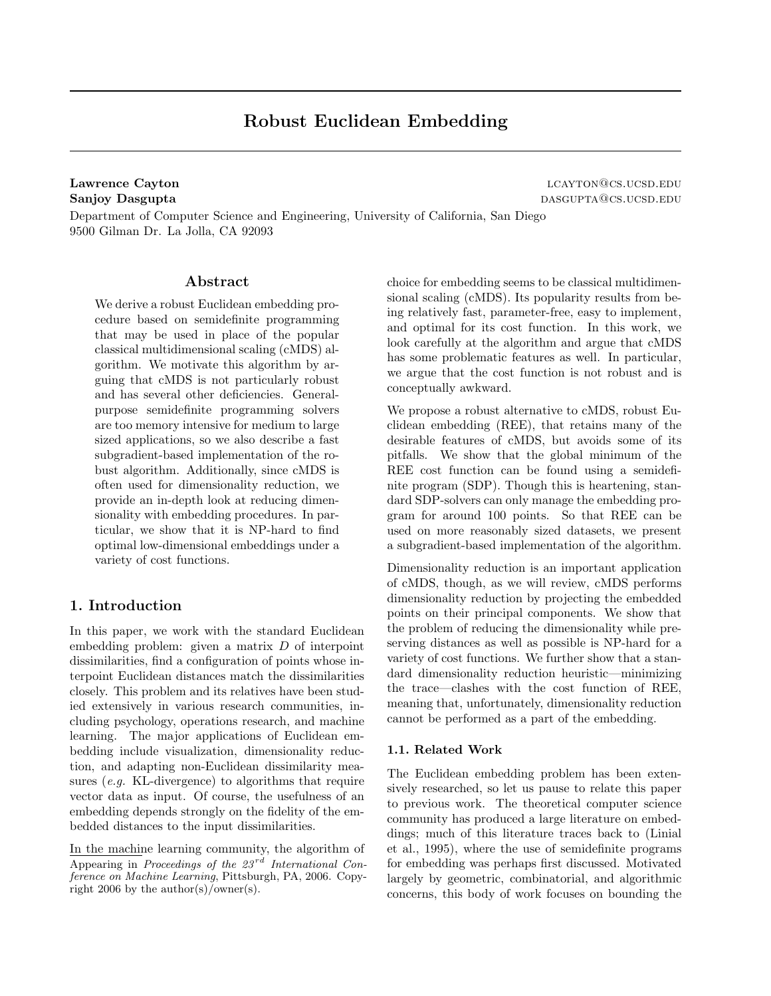# Robust Euclidean Embedding

Lawrence Cayton and the contract of the contract of the contract of the contract of the contract of the contract of the contract of the contract of the contract of the contract of the contract of the contract of the contra Sanjoy Dasgupta dasgupta@cs.ucsd.edu

Department of Computer Science and Engineering, University of California, San Diego 9500 Gilman Dr. La Jolla, CA 92093

# Abstract

We derive a robust Euclidean embedding procedure based on semidefinite programming that may be used in place of the popular classical multidimensional scaling (cMDS) algorithm. We motivate this algorithm by arguing that cMDS is not particularly robust and has several other deficiencies. Generalpurpose semidefinite programming solvers are too memory intensive for medium to large sized applications, so we also describe a fast subgradient-based implementation of the robust algorithm. Additionally, since cMDS is often used for dimensionality reduction, we provide an in-depth look at reducing dimensionality with embedding procedures. In particular, we show that it is NP-hard to find optimal low-dimensional embeddings under a variety of cost functions.

# 1. Introduction

In this paper, we work with the standard Euclidean embedding problem: given a matrix  $D$  of interpoint dissimilarities, find a configuration of points whose interpoint Euclidean distances match the dissimilarities closely. This problem and its relatives have been studied extensively in various research communities, including psychology, operations research, and machine learning. The major applications of Euclidean embedding include visualization, dimensionality reduction, and adapting non-Euclidean dissimilarity measures (e.g. KL-divergence) to algorithms that require vector data as input. Of course, the usefulness of an embedding depends strongly on the fidelity of the embedded distances to the input dissimilarities.

In the machine learning community, the algorithm of Appearing in Proceedings of the  $23^{rd}$  International Conference on Machine Learning, Pittsburgh, PA, 2006. Copyright 2006 by the author(s)/owner(s).

choice for embedding seems to be classical multidimensional scaling (cMDS). Its popularity results from being relatively fast, parameter-free, easy to implement, and optimal for its cost function. In this work, we look carefully at the algorithm and argue that cMDS has some problematic features as well. In particular, we argue that the cost function is not robust and is conceptually awkward.

We propose a robust alternative to cMDS, robust Euclidean embedding (REE), that retains many of the desirable features of cMDS, but avoids some of its pitfalls. We show that the global minimum of the REE cost function can be found using a semidefinite program (SDP). Though this is heartening, standard SDP-solvers can only manage the embedding program for around 100 points. So that REE can be used on more reasonably sized datasets, we present a subgradient-based implementation of the algorithm.

Dimensionality reduction is an important application of cMDS, though, as we will review, cMDS performs dimensionality reduction by projecting the embedded points on their principal components. We show that the problem of reducing the dimensionality while preserving distances as well as possible is NP-hard for a variety of cost functions. We further show that a standard dimensionality reduction heuristic—minimizing the trace—clashes with the cost function of REE, meaning that, unfortunately, dimensionality reduction cannot be performed as a part of the embedding.

### 1.1. Related Work

The Euclidean embedding problem has been extensively researched, so let us pause to relate this paper to previous work. The theoretical computer science community has produced a large literature on embeddings; much of this literature traces back to (Linial et al., 1995), where the use of semidefinite programs for embedding was perhaps first discussed. Motivated largely by geometric, combinatorial, and algorithmic concerns, this body of work focuses on bounding the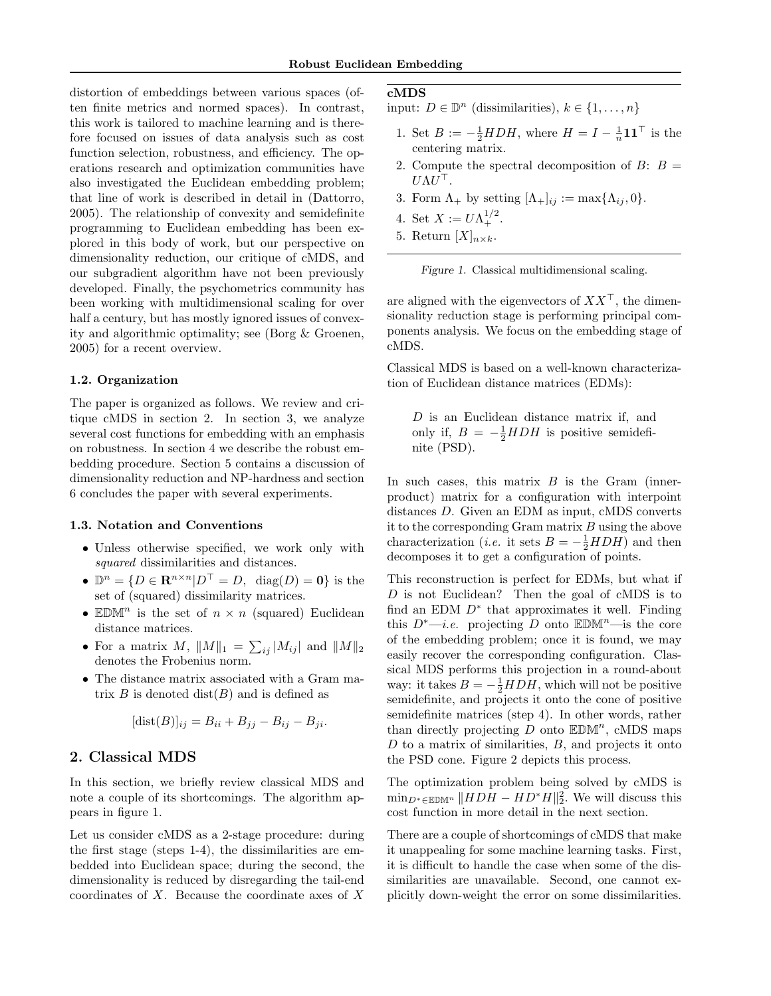distortion of embeddings between various spaces (often finite metrics and normed spaces). In contrast, this work is tailored to machine learning and is therefore focused on issues of data analysis such as cost function selection, robustness, and efficiency. The operations research and optimization communities have also investigated the Euclidean embedding problem; that line of work is described in detail in (Dattorro, 2005). The relationship of convexity and semidefinite programming to Euclidean embedding has been explored in this body of work, but our perspective on dimensionality reduction, our critique of cMDS, and our subgradient algorithm have not been previously developed. Finally, the psychometrics community has been working with multidimensional scaling for over half a century, but has mostly ignored issues of convexity and algorithmic optimality; see (Borg & Groenen, 2005) for a recent overview.

### 1.2. Organization

The paper is organized as follows. We review and critique cMDS in section 2. In section 3, we analyze several cost functions for embedding with an emphasis on robustness. In section 4 we describe the robust embedding procedure. Section 5 contains a discussion of dimensionality reduction and NP-hardness and section 6 concludes the paper with several experiments.

#### 1.3. Notation and Conventions

- Unless otherwise specified, we work only with squared dissimilarities and distances.
- $\mathbb{D}^n = \{ D \in \mathbb{R}^{n \times n} | D^{\top} = D, \text{ diag}(D) = 0 \}$  is the set of (squared) dissimilarity matrices.
- EDM<sup>n</sup> is the set of  $n \times n$  (squared) Euclidean distance matrices.
- For a matrix M,  $||M||_1 = \sum_{ij} |M_{ij}|$  and  $||M||_2$ denotes the Frobenius norm.
- The distance matrix associated with a Gram matrix  $B$  is denoted dist $(B)$  and is defined as

$$
[dist(B)]_{ij} = B_{ii} + B_{jj} - B_{ij} - B_{ji}.
$$

# 2. Classical MDS

In this section, we briefly review classical MDS and note a couple of its shortcomings. The algorithm appears in figure 1.

Let us consider cMDS as a 2-stage procedure: during the first stage (steps 1-4), the dissimilarities are embedded into Euclidean space; during the second, the dimensionality is reduced by disregarding the tail-end coordinates of X. Because the coordinate axes of X

# cMDS

input:  $D \in \mathbb{D}^n$  (dissimilarities),  $k \in \{1, \ldots, n\}$ 

- 1. Set  $B := -\frac{1}{2} H D H$ , where  $H = I \frac{1}{n} \mathbf{1} \mathbf{1}^\top$  is the centering matrix.
- 2. Compute the spectral decomposition of  $B: B =$  $U \Lambda U^\top.$
- 3. Form  $\Lambda_+$  by setting  $[\Lambda_+]_{ij} := \max{\Lambda_{ij}, 0}.$
- 4. Set  $X := U \Lambda_+^{1/2}$ .
- 5. Return  $[X]_{n \times k}$ .



are aligned with the eigenvectors of  $XX^{\top}$ , the dimensionality reduction stage is performing principal components analysis. We focus on the embedding stage of cMDS.

Classical MDS is based on a well-known characterization of Euclidean distance matrices (EDMs):

D is an Euclidean distance matrix if, and only if,  $B = -\frac{1}{2} H D H$  is positive semidefinite (PSD).

In such cases, this matrix  $B$  is the Gram (innerproduct) matrix for a configuration with interpoint distances D. Given an EDM as input, cMDS converts it to the corresponding Gram matrix  $B$  using the above characterization (*i.e.* it sets  $B = -\frac{1}{2} H D H$ ) and then decomposes it to get a configuration of points.

This reconstruction is perfect for EDMs, but what if D is not Euclidean? Then the goal of cMDS is to find an EDM  $D^*$  that approximates it well. Finding this  $D^*$ —*i.e.* projecting D onto EDM<sup>n</sup>—is the core of the embedding problem; once it is found, we may easily recover the corresponding configuration. Classical MDS performs this projection in a round-about way: it takes  $B = -\frac{1}{2}HDH$ , which will not be positive semidefinite, and projects it onto the cone of positive semidefinite matrices (step 4). In other words, rather than directly projecting  $D$  onto  $\mathbb{EDM}^n$ , cMDS maps  $D$  to a matrix of similarities,  $B$ , and projects it onto the PSD cone. Figure 2 depicts this process.

The optimization problem being solved by cMDS is  $\min_{D^* \in \mathbb{EDM}^n} ||HDH - HD^*H||_2^2$ . We will discuss this cost function in more detail in the next section.

There are a couple of shortcomings of cMDS that make it unappealing for some machine learning tasks. First, it is difficult to handle the case when some of the dissimilarities are unavailable. Second, one cannot explicitly down-weight the error on some dissimilarities.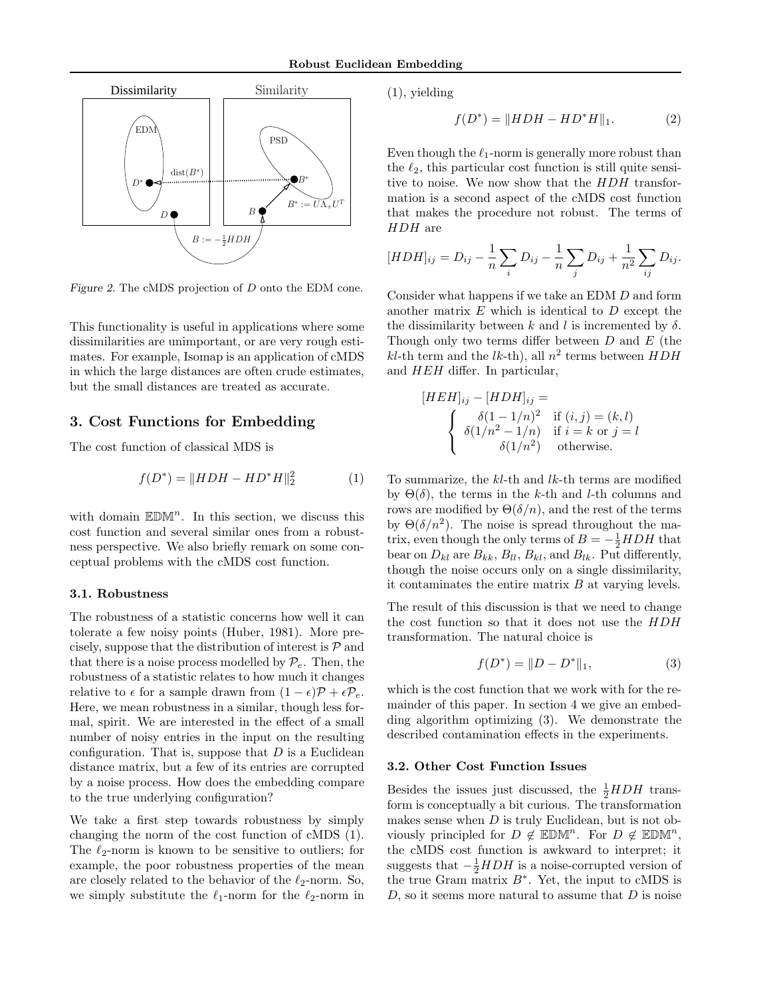

Figure 2. The cMDS projection of D onto the EDM cone.

This functionality is useful in applications where some dissimilarities are unimportant, or are very rough estimates. For example, Isomap is an application of cMDS in which the large distances are often crude estimates, but the small distances are treated as accurate.

# 3. Cost Functions for Embedding

The cost function of classical MDS is

$$
f(D^*) = ||HDH - HD^*H||_2^2 \tag{1}
$$

with domain  $\mathbb{EDM}^n$ . In this section, we discuss this cost function and several similar ones from a robustness perspective. We also briefly remark on some conceptual problems with the cMDS cost function.

### 3.1. Robustness

The robustness of a statistic concerns how well it can tolerate a few noisy points (Huber, 1981). More precisely, suppose that the distribution of interest is  $P$  and that there is a noise process modelled by  $\mathcal{P}_e$ . Then, the robustness of a statistic relates to how much it changes relative to  $\epsilon$  for a sample drawn from  $(1 - \epsilon)\mathcal{P} + \epsilon \mathcal{P}_e$ . Here, we mean robustness in a similar, though less formal, spirit. We are interested in the effect of a small number of noisy entries in the input on the resulting configuration. That is, suppose that  $D$  is a Euclidean distance matrix, but a few of its entries are corrupted by a noise process. How does the embedding compare to the true underlying configuration?

We take a first step towards robustness by simply changing the norm of the cost function of cMDS (1). The  $\ell_2$ -norm is known to be sensitive to outliers; for example, the poor robustness properties of the mean are closely related to the behavior of the  $\ell_2$ -norm. So, we simply substitute the  $\ell_1$ -norm for the  $\ell_2$ -norm in (1), yielding

$$
f(D^*) = \|HDH - HD^*H\|_1.
$$
 (2)

Even though the  $\ell_1$ -norm is generally more robust than the  $\ell_2$ , this particular cost function is still quite sensitive to noise. We now show that the HDH transformation is a second aspect of the cMDS cost function that makes the procedure not robust. The terms of HDH are

$$
[HDH]_{ij} = D_{ij} - \frac{1}{n} \sum_{i} D_{ij} - \frac{1}{n} \sum_{j} D_{ij} + \frac{1}{n^2} \sum_{ij} D_{ij}.
$$

Consider what happens if we take an EDM D and form another matrix  $E$  which is identical to  $D$  except the the dissimilarity between k and l is incremented by  $\delta$ . Though only two terms differ between  $D$  and  $E$  (the  $kl$ -th term and the  $lk$ -th), all  $n^2$  terms between  $HDH$ and HEH differ. In particular,

$$
[HEH]_{ij} - [HDH]_{ij} =
$$
  

$$
\begin{cases} \delta(1 - 1/n)^2 & \text{if } (i, j) = (k, l) \\ \delta(1/n^2 - 1/n) & \text{if } i = k \text{ or } j = l \\ \delta(1/n^2) & \text{otherwise.} \end{cases}
$$

To summarize, the  $kl$ -th and  $lk$ -th terms are modified by  $\Theta(\delta)$ , the terms in the k-th and l-th columns and rows are modified by  $\Theta(\delta/n)$ , and the rest of the terms by  $\Theta(\delta/n^2)$ . The noise is spread throughout the matrix, even though the only terms of  $B = -\frac{1}{2}HDH$  that bear on  $D_{kl}$  are  $B_{kk}$ ,  $B_{ll}$ ,  $B_{kl}$ , and  $B_{lk}$ . Put differently, though the noise occurs only on a single dissimilarity, it contaminates the entire matrix  $B$  at varying levels.

The result of this discussion is that we need to change the cost function so that it does not use the HDH transformation. The natural choice is

$$
f(D^*) = ||D - D^*||_1,\t\t(3)
$$

which is the cost function that we work with for the remainder of this paper. In section 4 we give an embedding algorithm optimizing (3). We demonstrate the described contamination effects in the experiments.

#### 3.2. Other Cost Function Issues

Besides the issues just discussed, the  $\frac{1}{2}HDH$  transform is conceptually a bit curious. The transformation makes sense when  $D$  is truly Euclidean, but is not obviously principled for  $D \notin \mathbb{EDM}^n$ . For  $D \notin \mathbb{EDM}^n$ , the cMDS cost function is awkward to interpret; it suggests that  $-\frac{1}{2}HDH$  is a noise-corrupted version of the true Gram matrix  $B^*$ . Yet, the input to cMDS is  $D$ , so it seems more natural to assume that  $D$  is noise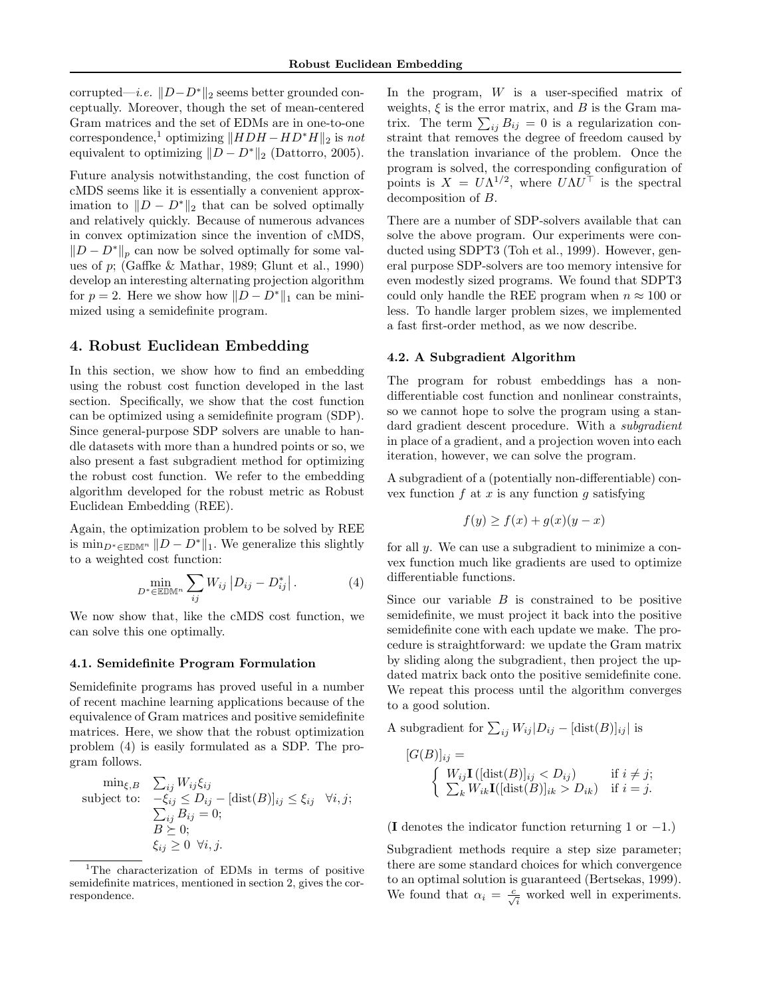corrupted—*i.e.*  $||D-D^*||_2$  seems better grounded conceptually. Moreover, though the set of mean-centered Gram matrices and the set of EDMs are in one-to-one correspondence,<sup>1</sup> optimizing  $\|HDH - HD^*H\|_2$  is not equivalent to optimizing  $||D - D^*||_2$  (Dattorro, 2005).

Future analysis notwithstanding, the cost function of cMDS seems like it is essentially a convenient approximation to  $||D - D^*||_2$  that can be solved optimally and relatively quickly. Because of numerous advances in convex optimization since the invention of cMDS,  $||D - D^*||_p$  can now be solved optimally for some values of p; (Gaffke & Mathar, 1989; Glunt et al., 1990) develop an interesting alternating projection algorithm for  $p = 2$ . Here we show how  $||D - D^*||_1$  can be minimized using a semidefinite program.

# 4. Robust Euclidean Embedding

In this section, we show how to find an embedding using the robust cost function developed in the last section. Specifically, we show that the cost function can be optimized using a semidefinite program (SDP). Since general-purpose SDP solvers are unable to handle datasets with more than a hundred points or so, we also present a fast subgradient method for optimizing the robust cost function. We refer to the embedding algorithm developed for the robust metric as Robust Euclidean Embedding (REE).

Again, the optimization problem to be solved by REE is min<sub>D<sup>∗</sup>∈EDM<sup>n</sup>  $||D - D^*||_1$ . We generalize this slightly</sub> to a weighted cost function:

$$
\min_{D^* \in \mathbb{EDM}^n} \sum_{ij} W_{ij} |D_{ij} - D^*_{ij}|.
$$
 (4)

We now show that, like the cMDS cost function, we can solve this one optimally.

#### 4.1. Semidefinite Program Formulation

Semidefinite programs has proved useful in a number of recent machine learning applications because of the equivalence of Gram matrices and positive semidefinite matrices. Here, we show that the robust optimization problem (4) is easily formulated as a SDP. The program follows.

$$
\begin{array}{ll}\n\min_{\xi,B} & \sum_{ij} W_{ij} \xi_{ij} \\
\text{subject to:} & -\xi_{ij} \le D_{ij} - [\text{dist}(B)]_{ij} \le \xi_{ij} \quad \forall i, j; \\
& \sum_{ij} B_{ij} = 0; \\
& B \succeq 0; \\
& \xi_{ij} \ge 0 \quad \forall i, j.\n\end{array}
$$

In the program, W is a user-specified matrix of weights,  $\xi$  is the error matrix, and B is the Gram maweights,  $\xi$  is the error matrix, and *B* is the Gram ma-<br>trix. The term  $\sum_{ij} B_{ij} = 0$  is a regularization constraint that removes the degree of freedom caused by the translation invariance of the problem. Once the program is solved, the corresponding configuration of points is  $X = U\Lambda^{1/2}$ , where  $U\Lambda U^{\top}$  is the spectral decomposition of B.

There are a number of SDP-solvers available that can solve the above program. Our experiments were conducted using SDPT3 (Toh et al., 1999). However, general purpose SDP-solvers are too memory intensive for even modestly sized programs. We found that SDPT3 could only handle the REE program when  $n \approx 100$  or less. To handle larger problem sizes, we implemented a fast first-order method, as we now describe.

#### 4.2. A Subgradient Algorithm

The program for robust embeddings has a nondifferentiable cost function and nonlinear constraints, so we cannot hope to solve the program using a standard gradient descent procedure. With a *subgradient* in place of a gradient, and a projection woven into each iteration, however, we can solve the program.

A subgradient of a (potentially non-differentiable) convex function  $f$  at  $x$  is any function  $g$  satisfying

$$
f(y) \ge f(x) + g(x)(y - x)
$$

for all y. We can use a subgradient to minimize a convex function much like gradients are used to optimize differentiable functions.

Since our variable  $B$  is constrained to be positive semidefinite, we must project it back into the positive semidefinite cone with each update we make. The procedure is straightforward: we update the Gram matrix by sliding along the subgradient, then project the updated matrix back onto the positive semidefinite cone. We repeat this process until the algorithm converges to a good solution.

A subgradient for  $\sum_{ij} W_{ij} |D_{ij} - [\text{dist}(B)]_{ij}|$  is

$$
[G(B)]_{ij} = \n\begin{cases} W_{ij}\mathbf{I}([\text{dist}(B)]_{ij} < D_{ij}) & \text{if } i \neq j; \\ \sum_k W_{ik}\mathbf{I}([\text{dist}(B)]_{ik} > D_{ik}) & \text{if } i = j. \end{cases}
$$

(I denotes the indicator function returning 1 or  $-1$ .)

Subgradient methods require a step size parameter; there are some standard choices for which convergence to an optimal solution is guaranteed (Bertsekas, 1999). We found that  $\alpha_i = \frac{c}{\sqrt{i}}$  worked well in experiments.

<sup>&</sup>lt;sup>1</sup>The characterization of EDMs in terms of positive semidefinite matrices, mentioned in section 2, gives the correspondence.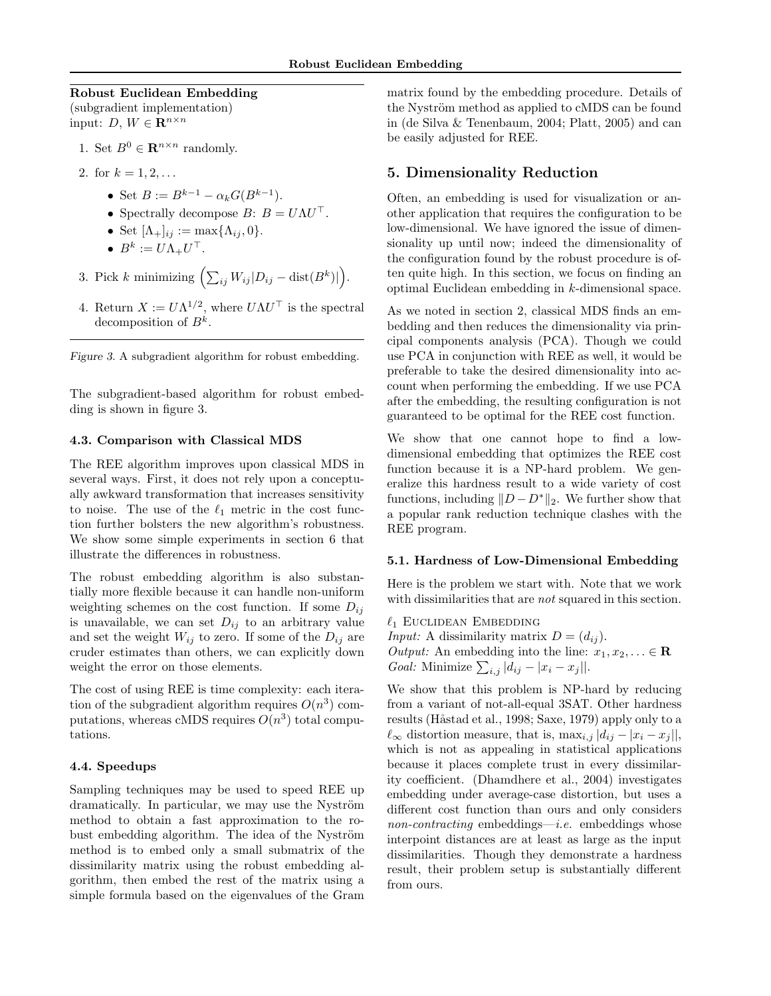#### Robust Euclidean Embedding

(subgradient implementation) input: D,  $W \in \mathbf{R}^{n \times n}$ 

- 1. Set  $B^0 \in \mathbf{R}^{n \times n}$  randomly.
- 2. for  $k = 1, 2, \ldots$ 
	- Set  $B := B^{k-1} \alpha_k G(B^{k-1}).$
	- Spectrally decompose  $B: B = U\Lambda U^{\top}$ .
	- Set  $[\Lambda_+]_{ij} := \max{\{\Lambda_{ij}, 0\}}$ .
	- $\bullet\;\;B^k:=U\Lambda_+U^\top.$
- 3. Pick k minimizing  $\left(\sum_{ij} W_{ij} | D_{ij} \text{dist}(B^k)\right)$ ´ .
- 4. Return  $X := U\Lambda^{1/2}$ , where  $U\Lambda U^{\top}$  is the spectral decomposition of  $B^k$ .

Figure 3. A subgradient algorithm for robust embedding.

The subgradient-based algorithm for robust embedding is shown in figure 3.

### 4.3. Comparison with Classical MDS

The REE algorithm improves upon classical MDS in several ways. First, it does not rely upon a conceptually awkward transformation that increases sensitivity to noise. The use of the  $\ell_1$  metric in the cost function further bolsters the new algorithm's robustness. We show some simple experiments in section 6 that illustrate the differences in robustness.

The robust embedding algorithm is also substantially more flexible because it can handle non-uniform weighting schemes on the cost function. If some  $D_{ij}$ is unavailable, we can set  $D_{ij}$  to an arbitrary value and set the weight  $W_{ij}$  to zero. If some of the  $D_{ij}$  are cruder estimates than others, we can explicitly down weight the error on those elements.

The cost of using REE is time complexity: each iteration of the subgradient algorithm requires  $O(n^3)$  computations, whereas cMDS requires  $O(n^3)$  total computations.

### 4.4. Speedups

Sampling techniques may be used to speed REE up dramatically. In particular, we may use the Nyström method to obtain a fast approximation to the robust embedding algorithm. The idea of the Nyström method is to embed only a small submatrix of the dissimilarity matrix using the robust embedding algorithm, then embed the rest of the matrix using a simple formula based on the eigenvalues of the Gram matrix found by the embedding procedure. Details of the Nyström method as applied to cMDS can be found in (de Silva & Tenenbaum, 2004; Platt, 2005) and can be easily adjusted for REE.

# 5. Dimensionality Reduction

Often, an embedding is used for visualization or another application that requires the configuration to be low-dimensional. We have ignored the issue of dimensionality up until now; indeed the dimensionality of the configuration found by the robust procedure is often quite high. In this section, we focus on finding an optimal Euclidean embedding in k-dimensional space.

As we noted in section 2, classical MDS finds an embedding and then reduces the dimensionality via principal components analysis (PCA). Though we could use PCA in conjunction with REE as well, it would be preferable to take the desired dimensionality into account when performing the embedding. If we use PCA after the embedding, the resulting configuration is not guaranteed to be optimal for the REE cost function.

We show that one cannot hope to find a lowdimensional embedding that optimizes the REE cost function because it is a NP-hard problem. We generalize this hardness result to a wide variety of cost functions, including  $||D - D^*||_2$ . We further show that a popular rank reduction technique clashes with the REE program.

#### 5.1. Hardness of Low-Dimensional Embedding

Here is the problem we start with. Note that we work with dissimilarities that are *not* squared in this section.

 $\ell_1$  Euclidean Embedding *Input:* A dissimilarity matrix  $D = (d_{ij})$ . *Output:* An embedding into the line:  $x_1, x_2, \ldots \in \mathbb{R}$ *Goal:* Minimize  $\sum_{i,j} |d_{ij} - |x_i - x_j|$ .

We show that this problem is NP-hard by reducing from a variant of not-all-equal 3SAT. Other hardness results (Håstad et al., 1998; Saxe, 1979) apply only to a  $\ell_{\infty}$  distortion measure, that is, max<sub>i,j</sub>  $|d_{ij} - x_i - x_j|$ , which is not as appealing in statistical applications because it places complete trust in every dissimilarity coefficient. (Dhamdhere et al., 2004) investigates embedding under average-case distortion, but uses a different cost function than ours and only considers non-contracting embeddings—*i.e.* embeddings whose interpoint distances are at least as large as the input dissimilarities. Though they demonstrate a hardness result, their problem setup is substantially different from ours.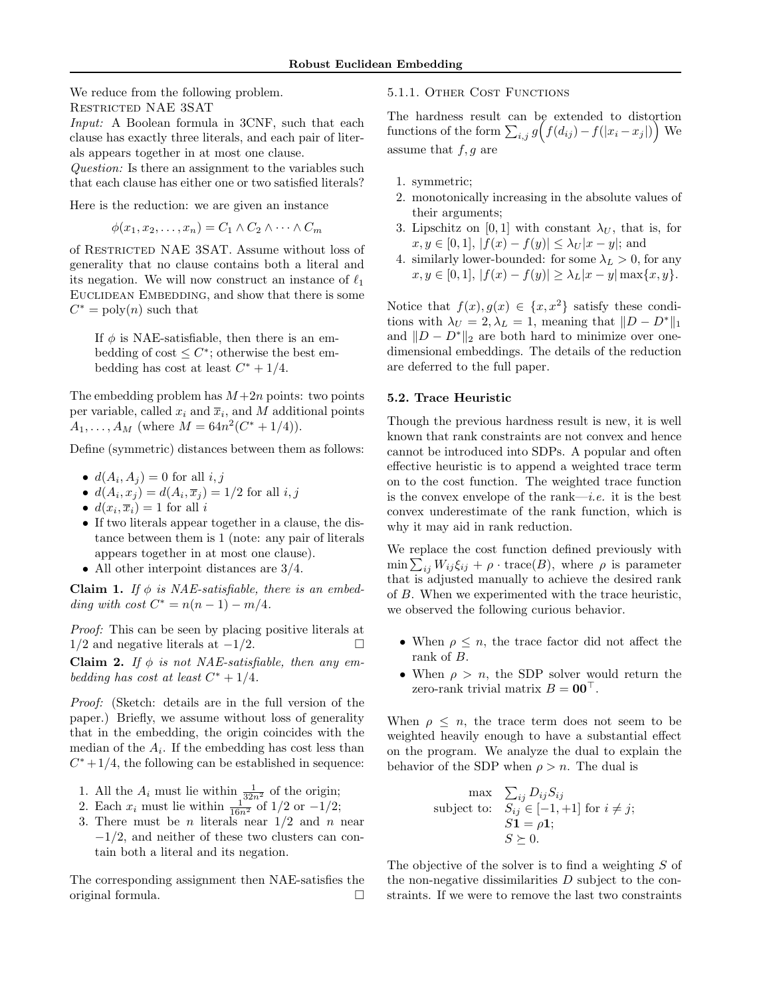We reduce from the following problem. Restricted NAE 3SAT

Input: A Boolean formula in 3CNF, such that each clause has exactly three literals, and each pair of literals appears together in at most one clause.

Question: Is there an assignment to the variables such that each clause has either one or two satisfied literals?

Here is the reduction: we are given an instance

 $\phi(x_1, x_2, \ldots, x_n) = C_1 \wedge C_2 \wedge \cdots \wedge C_m$ 

of RESTRICTED NAE 3SAT. Assume without loss of generality that no clause contains both a literal and its negation. We will now construct an instance of  $\ell_1$ EUCLIDEAN EMBEDDING, and show that there is some  $C^* = \text{poly}(n)$  such that

If  $\phi$  is NAE-satisfiable, then there is an embedding of cost  $\leq C^*$ ; otherwise the best embedding has cost at least  $C^* + 1/4$ .

The embedding problem has  $M+2n$  points: two points per variable, called  $x_i$  and  $\overline{x}_i$ , and M additional points  $A_1, \ldots, A_M$  (where  $M = 64n^2(C^* + 1/4)$ ).

Define (symmetric) distances between them as follows:

- $d(A_i, A_j) = 0$  for all  $i, j$
- $d(A_i, x_j) = d(A_i, \overline{x}_j) = 1/2$  for all  $i, j$
- $d(x_i, \overline{x}_i) = 1$  for all i
- If two literals appear together in a clause, the distance between them is 1 (note: any pair of literals appears together in at most one clause).
- All other interpoint distances are  $3/4$ .

Claim 1. If  $\phi$  is NAE-satisfiable, there is an embedding with cost  $C^* = n(n-1) - m/4$ .

Proof: This can be seen by placing positive literals at  $1/2$  and negative literals at  $-1/2$ .  $\Box$ 

Claim 2. If  $\phi$  is not NAE-satisfiable, then any embedding has cost at least  $C^* + 1/4$ .

Proof: (Sketch: details are in the full version of the paper.) Briefly, we assume without loss of generality that in the embedding, the origin coincides with the median of the  $A_i$ . If the embedding has cost less than  $C^* + 1/4$ , the following can be established in sequence:

- 1. All the  $A_i$  must lie within  $\frac{1}{32n^2}$  of the origin;
- 2. Each  $x_i$  must lie within  $\frac{1}{16n^2}$  of  $1/2$  or  $-1/2$ ;
- 3. There must be *n* literals near  $1/2$  and *n* near −1/2, and neither of these two clusters can contain both a literal and its negation.

The corresponding assignment then NAE-satisfies the original formula. ¤

# 5.1.1. Other Cost Functions

The hardness result can be extended to distortion The nardness result can be extended to distortion<br>functions of the form  $\sum_{i,j} g(f(d_{ij}) - f(|x_i - x_j|))$  We assume that  $f, g$  are

- 1. symmetric;
- 2. monotonically increasing in the absolute values of their arguments;
- 3. Lipschitz on [0, 1] with constant  $\lambda_U$ , that is, for  $x, y \in [0, 1], |f(x) - f(y)| \leq \lambda_U |x - y|$ ; and
- 4. similarly lower-bounded: for some  $\lambda_L > 0$ , for any  $x, y \in [0, 1], |f(x) - f(y)| \geq \lambda_L |x - y| \max\{x, y\}.$

Notice that  $f(x), g(x) \in \{x, x^2\}$  satisfy these conditions with  $\lambda_U = 2, \lambda_L = 1$ , meaning that  $||D - D^*||_1$ and  $||D - D^*||_2$  are both hard to minimize over onedimensional embeddings. The details of the reduction are deferred to the full paper.

#### 5.2. Trace Heuristic

Though the previous hardness result is new, it is well known that rank constraints are not convex and hence cannot be introduced into SDPs. A popular and often effective heuristic is to append a weighted trace term on to the cost function. The weighted trace function is the convex envelope of the rank—i.e. it is the best convex underestimate of the rank function, which is why it may aid in rank reduction.

We replace the cost function defined previously with we replace the cost function defined previously with<br>min  $\sum_{ij} W_{ij} \xi_{ij} + \rho \cdot \text{trace}(B)$ , where  $\rho$  is parameter that is adjusted manually to achieve the desired rank of B. When we experimented with the trace heuristic, we observed the following curious behavior.

- When  $\rho \leq n$ , the trace factor did not affect the rank of B.
- When  $\rho > n$ , the SDP solver would return the zero-rank trivial matrix  $B = 00^\circ$ .

When  $\rho \leq n$ , the trace term does not seem to be weighted heavily enough to have a substantial effect on the program. We analyze the dual to explain the behavior of the SDP when  $\rho > n$ . The dual is

$$
\begin{array}{ll}\n\text{max} & \sum_{ij} D_{ij} S_{ij} \\
\text{subject to:} & S_{ij} \in [-1, +1] \text{ for } i \neq j; \\
& S1 = \rho 1; \\
& S \succeq 0.\n\end{array}
$$

The objective of the solver is to find a weighting S of the non-negative dissimilarities  $D$  subject to the constraints. If we were to remove the last two constraints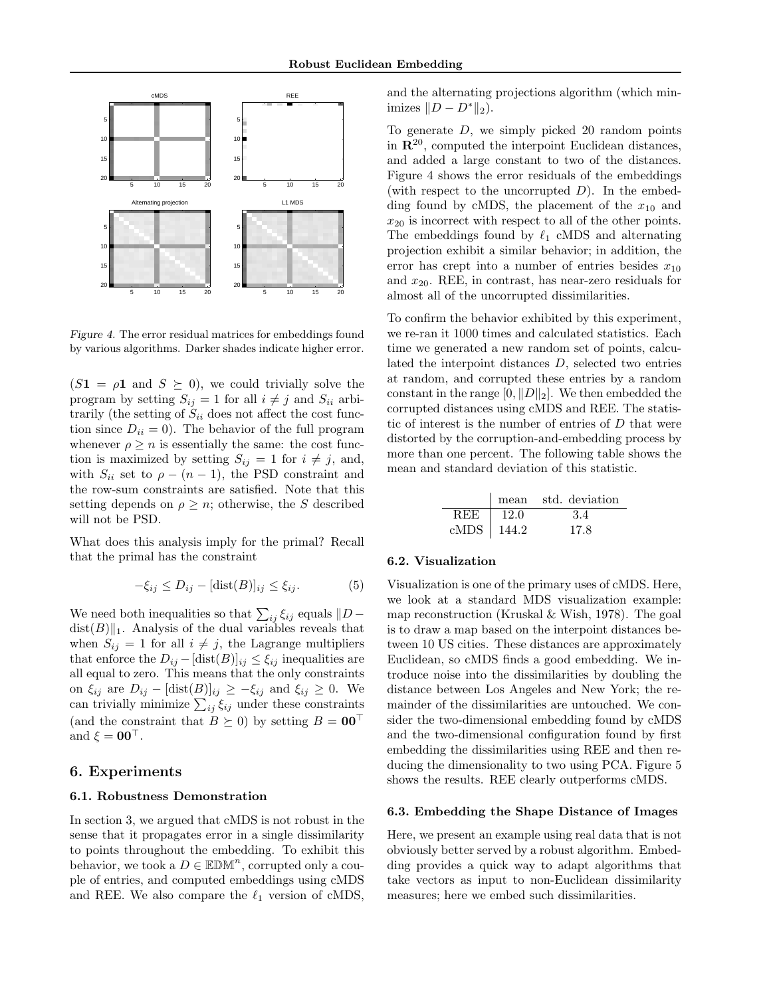

Figure 4. The error residual matrices for embeddings found by various algorithms. Darker shades indicate higher error.

 $(S1 = \rho 1$  and  $S \succeq 0)$ , we could trivially solve the program by setting  $S_{ij} = 1$  for all  $i \neq j$  and  $S_{ii}$  arbitrarily (the setting of  $S_{ii}$  does not affect the cost function since  $D_{ii} = 0$ ). The behavior of the full program whenever  $\rho \geq n$  is essentially the same: the cost function is maximized by setting  $S_{ij} = 1$  for  $i \neq j$ , and, with  $S_{ii}$  set to  $\rho - (n-1)$ , the PSD constraint and the row-sum constraints are satisfied. Note that this setting depends on  $\rho \geq n$ ; otherwise, the S described will not be PSD.

What does this analysis imply for the primal? Recall that the primal has the constraint

$$
-\xi_{ij} \le D_{ij} - [\text{dist}(B)]_{ij} \le \xi_{ij}.
$$
 (5)

We need both inequalities so that  $\sum_{ij} \xi_{ij}$  equals  $||D$  $dist(B)\|_1$ . Analysis of the dual variables reveals that when  $S_{ij} = 1$  for all  $i \neq j$ , the Lagrange multipliers that enforce the  $D_{ij} - [\text{dist}(B)]_{ij} \leq \xi_{ij}$  inequalities are all equal to zero. This means that the only constraints on  $\xi_{ij}$  are  $D_{ij} - [\text{dist}(B)]_{ij} \geq -\xi_{ij}$  and  $\xi_{ij} \geq 0$ . We on  $\zeta_{ij}$  are  $D_{ij} - [\text{dist}(B)]_{ij} \ge -\zeta_{ij}$  and  $\zeta_{ij} \ge 0$ . We<br>can trivially minimize  $\sum_{ij} \zeta_{ij}$  under these constraints (and the constraint that  $B \succeq 0$ ) by setting  $B = 00^{\top}$ and  $\xi = 00^\circ$ .

# 6. Experiments

### 6.1. Robustness Demonstration

In section 3, we argued that cMDS is not robust in the sense that it propagates error in a single dissimilarity to points throughout the embedding. To exhibit this behavior, we took a  $D \in \mathbb{EDM}^n$ , corrupted only a couple of entries, and computed embeddings using cMDS and REE. We also compare the  $\ell_1$  version of cMDS,

and the alternating projections algorithm (which minimizes  $||D - D^*||_2$ ).

To generate  $D$ , we simply picked 20 random points in  $\mathbb{R}^{20}$ , computed the interpoint Euclidean distances, and added a large constant to two of the distances. Figure 4 shows the error residuals of the embeddings (with respect to the uncorrupted  $D$ ). In the embedding found by cMDS, the placement of the  $x_{10}$  and  $x_{20}$  is incorrect with respect to all of the other points. The embeddings found by  $\ell_1$  cMDS and alternating projection exhibit a similar behavior; in addition, the error has crept into a number of entries besides  $x_{10}$ and  $x_{20}$ . REE, in contrast, has near-zero residuals for almost all of the uncorrupted dissimilarities.

To confirm the behavior exhibited by this experiment, we re-ran it 1000 times and calculated statistics. Each time we generated a new random set of points, calculated the interpoint distances D, selected two entries at random, and corrupted these entries by a random constant in the range  $[0, \|D\|_2]$ . We then embedded the corrupted distances using cMDS and REE. The statistic of interest is the number of entries of  $D$  that were distorted by the corruption-and-embedding process by more than one percent. The following table shows the mean and standard deviation of this statistic.

|                         |      | mean std. deviation |
|-------------------------|------|---------------------|
| <b>REE</b>              | 12.0 | 3.4                 |
| $\mathrm{cMDS}$   144.2 |      | 17.8                |

#### 6.2. Visualization

Visualization is one of the primary uses of cMDS. Here, we look at a standard MDS visualization example: map reconstruction (Kruskal & Wish, 1978). The goal is to draw a map based on the interpoint distances between 10 US cities. These distances are approximately Euclidean, so cMDS finds a good embedding. We introduce noise into the dissimilarities by doubling the distance between Los Angeles and New York; the remainder of the dissimilarities are untouched. We consider the two-dimensional embedding found by cMDS and the two-dimensional configuration found by first embedding the dissimilarities using REE and then reducing the dimensionality to two using PCA. Figure 5 shows the results. REE clearly outperforms cMDS.

#### 6.3. Embedding the Shape Distance of Images

Here, we present an example using real data that is not obviously better served by a robust algorithm. Embedding provides a quick way to adapt algorithms that take vectors as input to non-Euclidean dissimilarity measures; here we embed such dissimilarities.